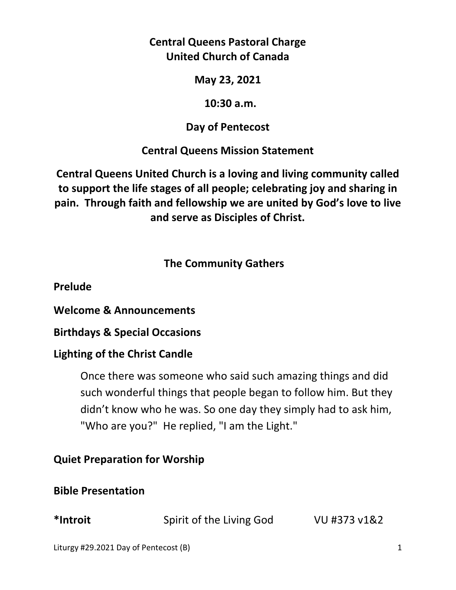## **Central Queens Pastoral Charge United Church of Canada**

#### **May 23, 2021**

#### **10:30 a.m.**

## **Day of Pentecost**

## **Central Queens Mission Statement**

**Central Queens United Church is a loving and living community called to support the life stages of all people; celebrating joy and sharing in pain. Through faith and fellowship we are united by God's love to live and serve as Disciples of Christ.**

## **The Community Gathers**

**Prelude** 

**Welcome & Announcements** 

**Birthdays & Special Occasions** 

## **Lighting of the Christ Candle**

Once there was someone who said such amazing things and did such wonderful things that people began to follow him. But they didn't know who he was. So one day they simply had to ask him, "Who are you?" He replied, "I am the Light."

## **Quiet Preparation for Worship**

## **Bible Presentation**

**\*Introit** Spirit of the Living God VU #373 v1&2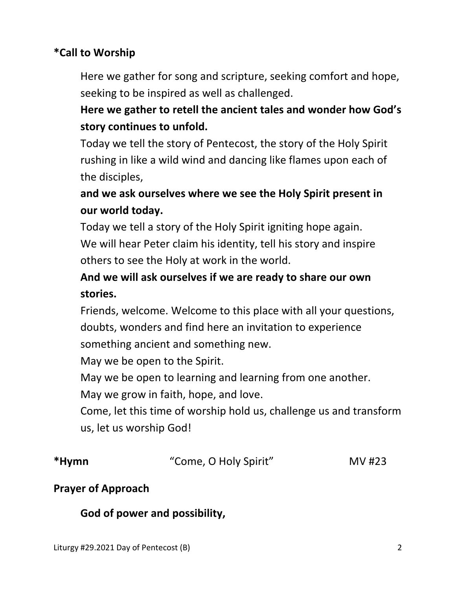## **\*Call to Worship**

Here we gather for song and scripture, seeking comfort and hope, seeking to be inspired as well as challenged.

# **Here we gather to retell the ancient tales and wonder how God's story continues to unfold.**

 Today we tell the story of Pentecost, the story of the Holy Spirit rushing in like a wild wind and dancing like flames upon each of the disciples,

# **and we ask ourselves where we see the Holy Spirit present in our world today.**

 Today we tell a story of the Holy Spirit igniting hope again. We will hear Peter claim his identity, tell his story and inspire others to see the Holy at work in the world.

# **And we will ask ourselves if we are ready to share our own stories.**

 Friends, welcome. Welcome to this place with all your questions, doubts, wonders and find here an invitation to experience something ancient and something new.

May we be open to the Spirit.

May we be open to learning and learning from one another.

May we grow in faith, hope, and love.

 Come, let this time of worship hold us, challenge us and transform us, let us worship God!

| *Hymn | "Come, O Holy Spirit" | MV #23 |
|-------|-----------------------|--------|
|       |                       |        |

## **Prayer of Approach**

## **God of power and possibility,**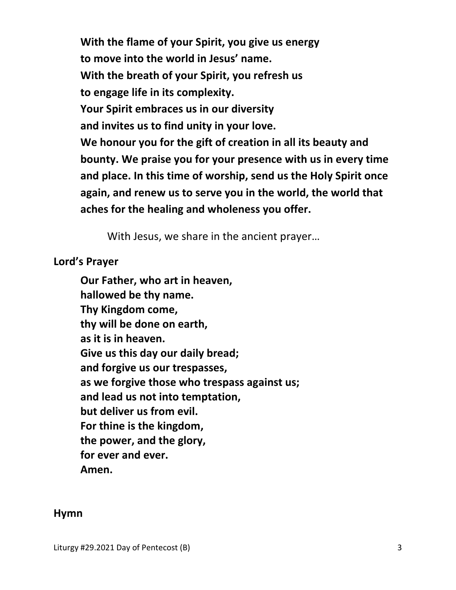**With the flame of your Spirit, you give us energy to move into the world in Jesus' name. With the breath of your Spirit, you refresh us to engage life in its complexity. Your Spirit embraces us in our diversity and invites us to find unity in your love. We honour you for the gift of creation in all its beauty and bounty. We praise you for your presence with us in every time and place. In this time of worship, send us the Holy Spirit once again, and renew us to serve you in the world, the world that aches for the healing and wholeness you offer.** 

With Jesus, we share in the ancient prayer…

#### **Lord's Prayer**

**Our Father, who art in heaven, hallowed be thy name. Thy Kingdom come, thy will be done on earth, as it is in heaven. Give us this day our daily bread; and forgive us our trespasses, as we forgive those who trespass against us; and lead us not into temptation, but deliver us from evil. For thine is the kingdom, the power, and the glory, for ever and ever. Amen.** 

#### **Hymn**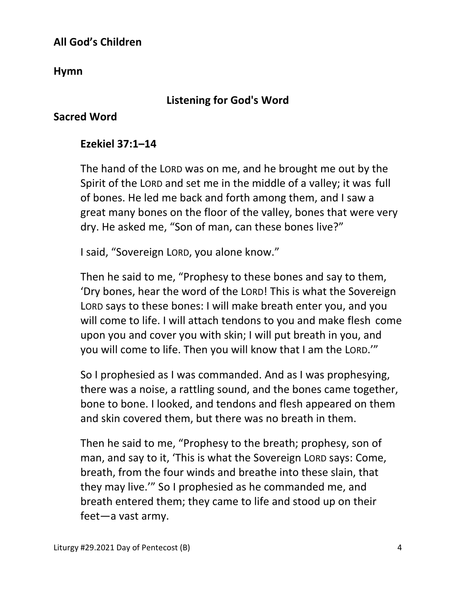## **All God's Children**

**Hymn** 

## **Listening for God's Word**

#### **Sacred Word**

#### **Ezekiel 37:1–14**

The hand of the LORD was on me, and he brought me out by the Spirit of the LORD and set me in the middle of a valley; it was full of bones. He led me back and forth among them, and I saw a great many bones on the floor of the valley, bones that were very dry. He asked me, "Son of man, can these bones live?"

I said, "Sovereign LORD, you alone know."

Then he said to me, "Prophesy to these bones and say to them, 'Dry bones, hear the word of the LORD! This is what the Sovereign LORD says to these bones: I will make breath enter you, and you will come to life. I will attach tendons to you and make flesh come upon you and cover you with skin; I will put breath in you, and you will come to life. Then you will know that I am the LORD.'"

So I prophesied as I was commanded. And as I was prophesying, there was a noise, a rattling sound, and the bones came together, bone to bone. I looked, and tendons and flesh appeared on them and skin covered them, but there was no breath in them.

Then he said to me, "Prophesy to the breath; prophesy, son of man, and say to it, 'This is what the Sovereign LORD says: Come, breath, from the four winds and breathe into these slain, that they may live.'" So I prophesied as he commanded me, and breath entered them; they came to life and stood up on their feet—a vast army.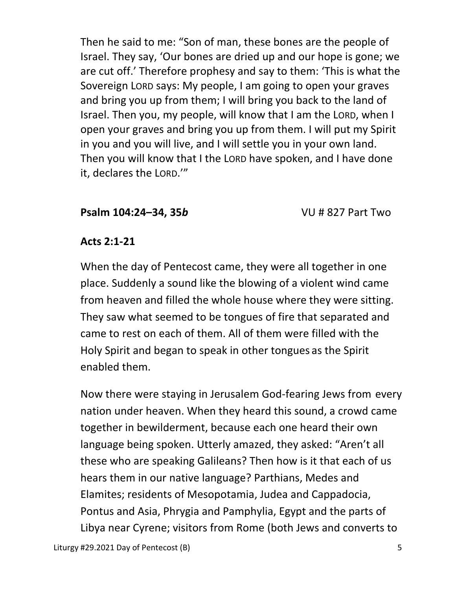Then he said to me: "Son of man, these bones are the people of Israel. They say, 'Our bones are dried up and our hope is gone; we are cut off.' Therefore prophesy and say to them: 'This is what the Sovereign LORD says: My people, I am going to open your graves and bring you up from them; I will bring you back to the land of Israel. Then you, my people, will know that I am the LORD, when I open your graves and bring you up from them. I will put my Spirit in you and you will live, and I will settle you in your own land. Then you will know that I the LORD have spoken, and I have done it, declares the LORD.'"

#### **Psalm 104:24–34, 35***b*VU # 827 Part Two

#### **Acts 2:1-21**

When the day of Pentecost came, they were all together in one place. Suddenly a sound like the blowing of a violent wind came from heaven and filled the whole house where they were sitting. They saw what seemed to be tongues of fire that separated and came to rest on each of them. All of them were filled with the Holy Spirit and began to speak in other tongues as the Spirit enabled them.

Now there were staying in Jerusalem God-fearing Jews from every nation under heaven. When they heard this sound, a crowd came together in bewilderment, because each one heard their own language being spoken. Utterly amazed, they asked: "Aren't all these who are speaking Galileans? Then how is it that each of us hears them in our native language? Parthians, Medes and Elamites; residents of Mesopotamia, Judea and Cappadocia, Pontus and Asia, Phrygia and Pamphylia, Egypt and the parts of Libya near Cyrene; visitors from Rome (both Jews and converts to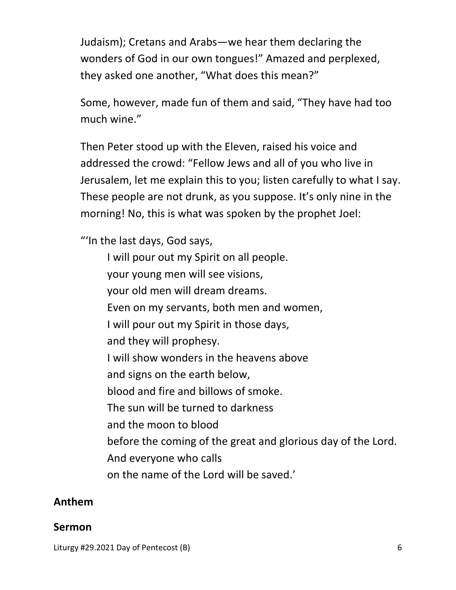Judaism); Cretans and Arabs—we hear them declaring the wonders of God in our own tongues!" Amazed and perplexed, they asked one another, "What does this mean?"

Some, however, made fun of them and said, "They have had too much wine."

Then Peter stood up with the Eleven, raised his voice and addressed the crowd: "Fellow Jews and all of you who live in Jerusalem, let me explain this to you; listen carefully to what I say. These people are not drunk, as you suppose. It's only nine in the morning! No, this is what was spoken by the prophet Joel:

"'In the last days, God says,

 I will pour out my Spirit on all people. your young men will see visions, your old men will dream dreams. Even on my servants, both men and women, I will pour out my Spirit in those days, and they will prophesy. I will show wonders in the heavens above and signs on the earth below, blood and fire and billows of smoke. The sun will be turned to darkness and the moon to blood before the coming of the great and glorious day of the Lord. And everyone who calls on the name of the Lord will be saved.'

#### **Anthem**

#### **Sermon**

Liturgy #29.2021 Day of Pentecost (B) 6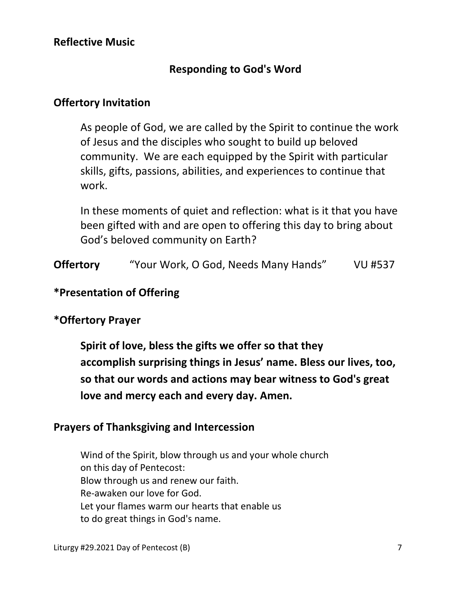### **Responding to God's Word**

#### **Offertory Invitation**

 As people of God, we are called by the Spirit to continue the work of Jesus and the disciples who sought to build up beloved community. We are each equipped by the Spirit with particular skills, gifts, passions, abilities, and experiences to continue that work.

 In these moments of quiet and reflection: what is it that you have been gifted with and are open to offering this day to bring about God's beloved community on Earth?

**Offertory** "Your Work, O God, Needs Many Hands" VU #537

#### **\*Presentation of Offering**

#### **\*Offertory Prayer**

**Spirit of love, bless the gifts we offer so that they accomplish surprising things in Jesus' name. Bless our lives, too, so that our words and actions may bear witness to God's great love and mercy each and every day. Amen.** 

#### **Prayers of Thanksgiving and Intercession**

Wind of the Spirit, blow through us and your whole church on this day of Pentecost: Blow through us and renew our faith. Re-awaken our love for God. Let your flames warm our hearts that enable us to do great things in God's name.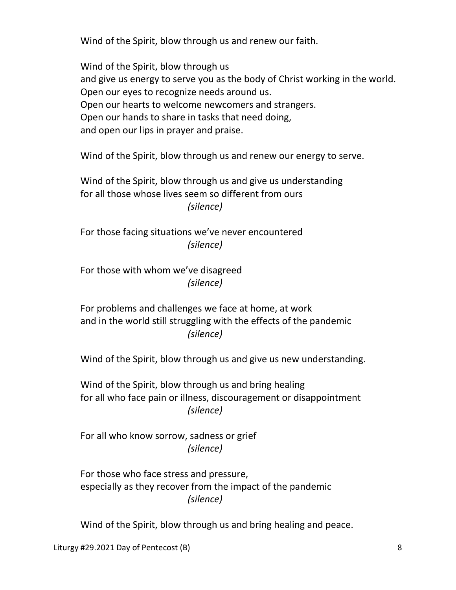Wind of the Spirit, blow through us and renew our faith.

 Wind of the Spirit, blow through us and give us energy to serve you as the body of Christ working in the world. Open our eyes to recognize needs around us. Open our hearts to welcome newcomers and strangers. Open our hands to share in tasks that need doing, and open our lips in prayer and praise.

Wind of the Spirit, blow through us and renew our energy to serve.

 Wind of the Spirit, blow through us and give us understanding for all those whose lives seem so different from ours  *(silence)* 

 For those facing situations we've never encountered  *(silence)* 

 For those with whom we've disagreed  *(silence)* 

 For problems and challenges we face at home, at work and in the world still struggling with the effects of the pandemic  *(silence)* 

Wind of the Spirit, blow through us and give us new understanding.

 Wind of the Spirit, blow through us and bring healing for all who face pain or illness, discouragement or disappointment  *(silence)* 

 For all who know sorrow, sadness or grief  *(silence)* 

 For those who face stress and pressure, especially as they recover from the impact of the pandemic  *(silence)* 

Wind of the Spirit, blow through us and bring healing and peace.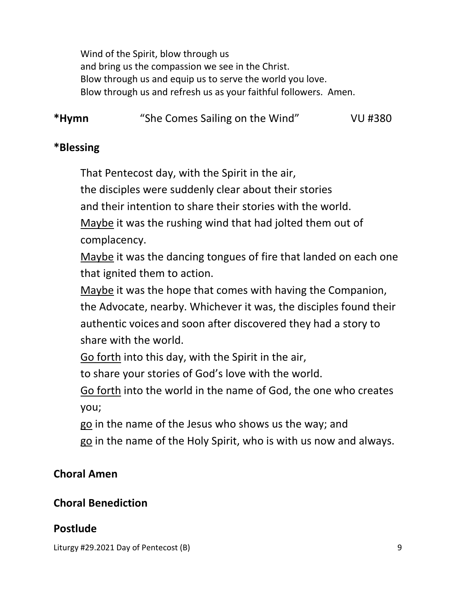Wind of the Spirit, blow through us and bring us the compassion we see in the Christ. Blow through us and equip us to serve the world you love. Blow through us and refresh us as your faithful followers. Amen.

**\*Hymn** "She Comes Sailing on the Wind" VU #380

#### **\*Blessing**

That Pentecost day, with the Spirit in the air,

the disciples were suddenly clear about their stories

and their intention to share their stories with the world.

 Maybe it was the rushing wind that had jolted them out of complacency.

 Maybe it was the dancing tongues of fire that landed on each one that ignited them to action.

 Maybe it was the hope that comes with having the Companion, the Advocate, nearby. Whichever it was, the disciples found their authentic voices and soon after discovered they had a story to share with the world.

Go forth into this day, with the Spirit in the air,

to share your stories of God's love with the world.

 Go forth into the world in the name of God, the one who creates you;

go in the name of the Jesus who shows us the way; and

go in the name of the Holy Spirit, who is with us now and always.

## **Choral Amen**

## **Choral Benediction**

## **Postlude**

Liturgy #29.2021 Day of Pentecost (B) 9